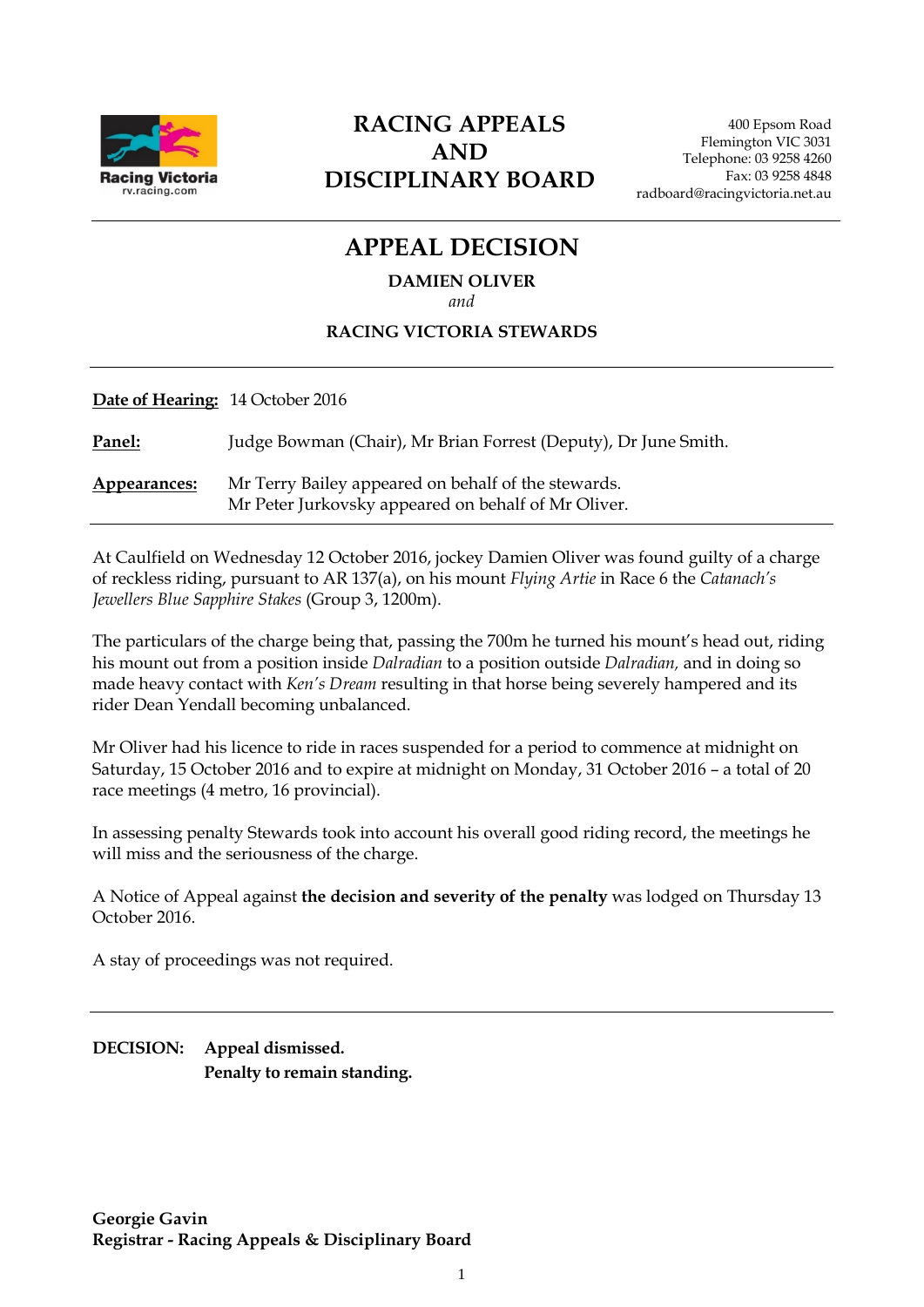

### **RACING APPEALS AND DISCIPLINARY BOARD**

# **APPEAL DECISION**

#### **DAMIEN OLIVER**

*and*

#### **RACING VICTORIA STEWARDS**

| <b>Date of Hearing: 14 October 2016</b> |                                                                                                            |
|-----------------------------------------|------------------------------------------------------------------------------------------------------------|
| Panel:                                  | Judge Bowman (Chair), Mr Brian Forrest (Deputy), Dr June Smith.                                            |
| Appearances:                            | Mr Terry Bailey appeared on behalf of the stewards.<br>Mr Peter Jurkovsky appeared on behalf of Mr Oliver. |

At Caulfield on Wednesday 12 October 2016, jockey Damien Oliver was found guilty of a charge of reckless riding, pursuant to AR 137(a), on his mount *Flying Artie* in Race 6 the *Catanach's Jewellers Blue Sapphire Stakes* (Group 3, 1200m).

The particulars of the charge being that, passing the 700m he turned his mount's head out, riding his mount out from a position inside *Dalradian* to a position outside *Dalradian,* and in doing so made heavy contact with *Ken's Dream* resulting in that horse being severely hampered and its rider Dean Yendall becoming unbalanced.

Mr Oliver had his licence to ride in races suspended for a period to commence at midnight on Saturday, 15 October 2016 and to expire at midnight on Monday, 31 October 2016 – a total of 20 race meetings (4 metro, 16 provincial).

In assessing penalty Stewards took into account his overall good riding record, the meetings he will miss and the seriousness of the charge.

A Notice of Appeal against **the decision and severity of the penalty** was lodged on Thursday 13 October 2016.

A stay of proceedings was not required.

**DECISION: Appeal dismissed. Penalty to remain standing.**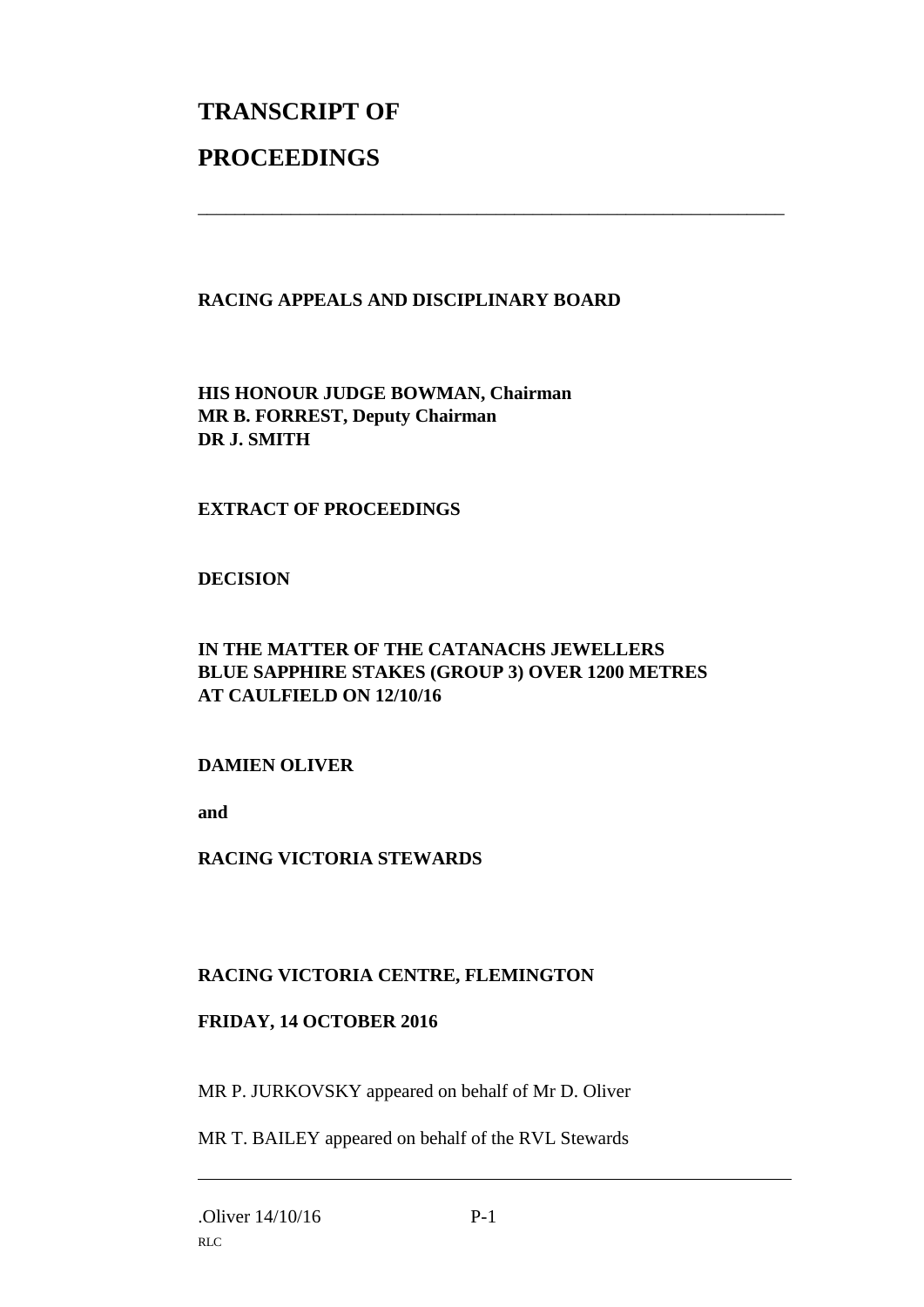## **TRANSCRIPT OF PROCEEDINGS**

#### **RACING APPEALS AND DISCIPLINARY BOARD**

\_\_\_\_\_\_\_\_\_\_\_\_\_\_\_\_\_\_\_\_\_\_\_\_\_\_\_\_\_\_\_\_\_\_\_\_\_\_\_\_\_\_\_\_\_\_\_\_\_\_\_\_\_\_\_\_\_\_\_\_\_\_\_

**HIS HONOUR JUDGE BOWMAN, Chairman MR B. FORREST, Deputy Chairman DR J. SMITH**

#### **EXTRACT OF PROCEEDINGS**

#### **DECISION**

#### **IN THE MATTER OF THE CATANACHS JEWELLERS BLUE SAPPHIRE STAKES (GROUP 3) OVER 1200 METRES AT CAULFIELD ON 12/10/16**

#### **DAMIEN OLIVER**

**and** 

**RACING VICTORIA STEWARDS**

#### **RACING VICTORIA CENTRE, FLEMINGTON**

#### **FRIDAY, 14 OCTOBER 2016**

MR P. JURKOVSKY appeared on behalf of Mr D. Oliver

MR T. BAILEY appeared on behalf of the RVL Stewards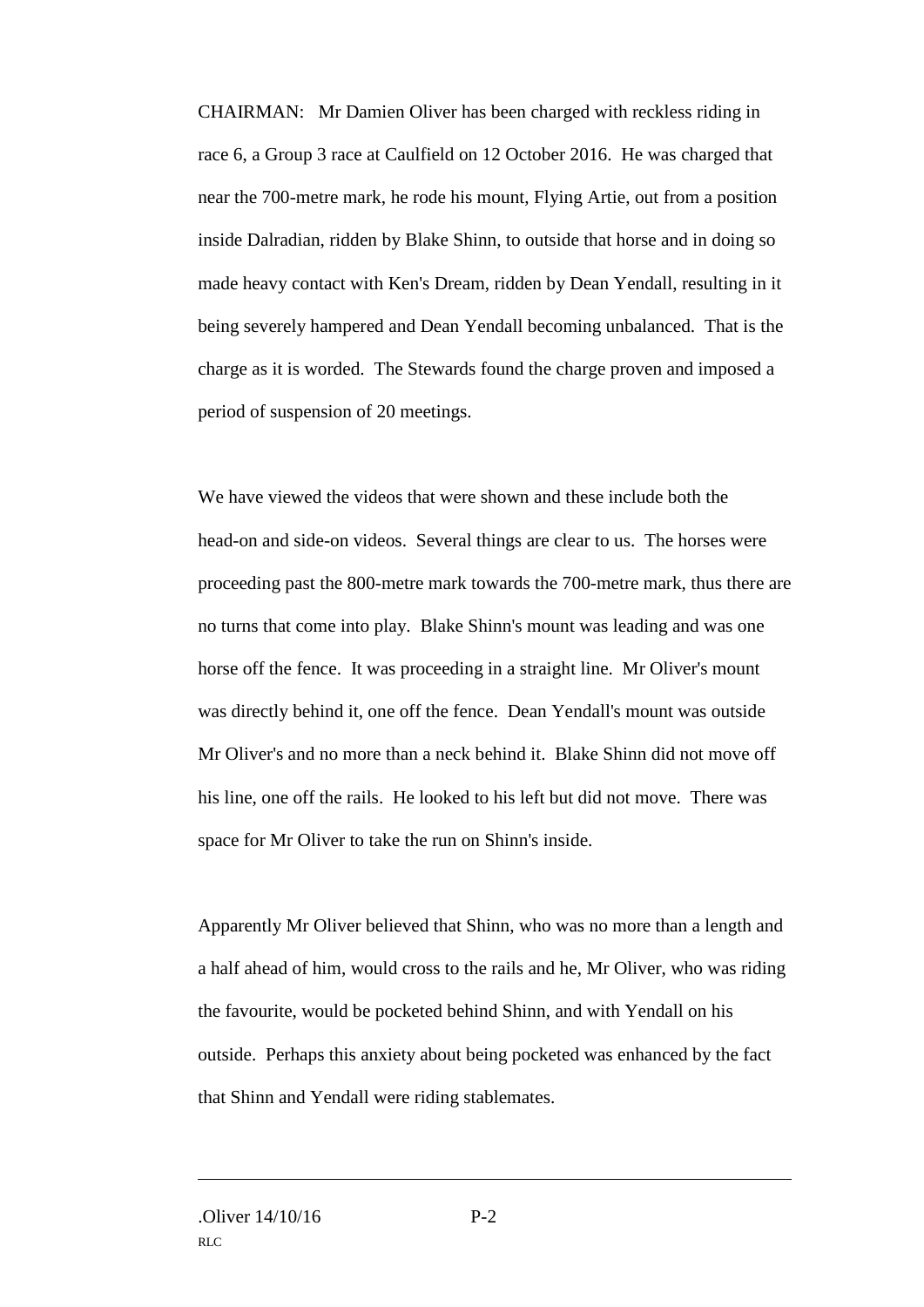CHAIRMAN: Mr Damien Oliver has been charged with reckless riding in race 6, a Group 3 race at Caulfield on 12 October 2016. He was charged that near the 700-metre mark, he rode his mount, Flying Artie, out from a position inside Dalradian, ridden by Blake Shinn, to outside that horse and in doing so made heavy contact with Ken's Dream, ridden by Dean Yendall, resulting in it being severely hampered and Dean Yendall becoming unbalanced. That is the charge as it is worded. The Stewards found the charge proven and imposed a period of suspension of 20 meetings.

We have viewed the videos that were shown and these include both the head-on and side-on videos. Several things are clear to us. The horses were proceeding past the 800-metre mark towards the 700-metre mark, thus there are no turns that come into play. Blake Shinn's mount was leading and was one horse off the fence. It was proceeding in a straight line. Mr Oliver's mount was directly behind it, one off the fence. Dean Yendall's mount was outside Mr Oliver's and no more than a neck behind it. Blake Shinn did not move off his line, one off the rails. He looked to his left but did not move. There was space for Mr Oliver to take the run on Shinn's inside.

Apparently Mr Oliver believed that Shinn, who was no more than a length and a half ahead of him, would cross to the rails and he, Mr Oliver, who was riding the favourite, would be pocketed behind Shinn, and with Yendall on his outside. Perhaps this anxiety about being pocketed was enhanced by the fact that Shinn and Yendall were riding stablemates.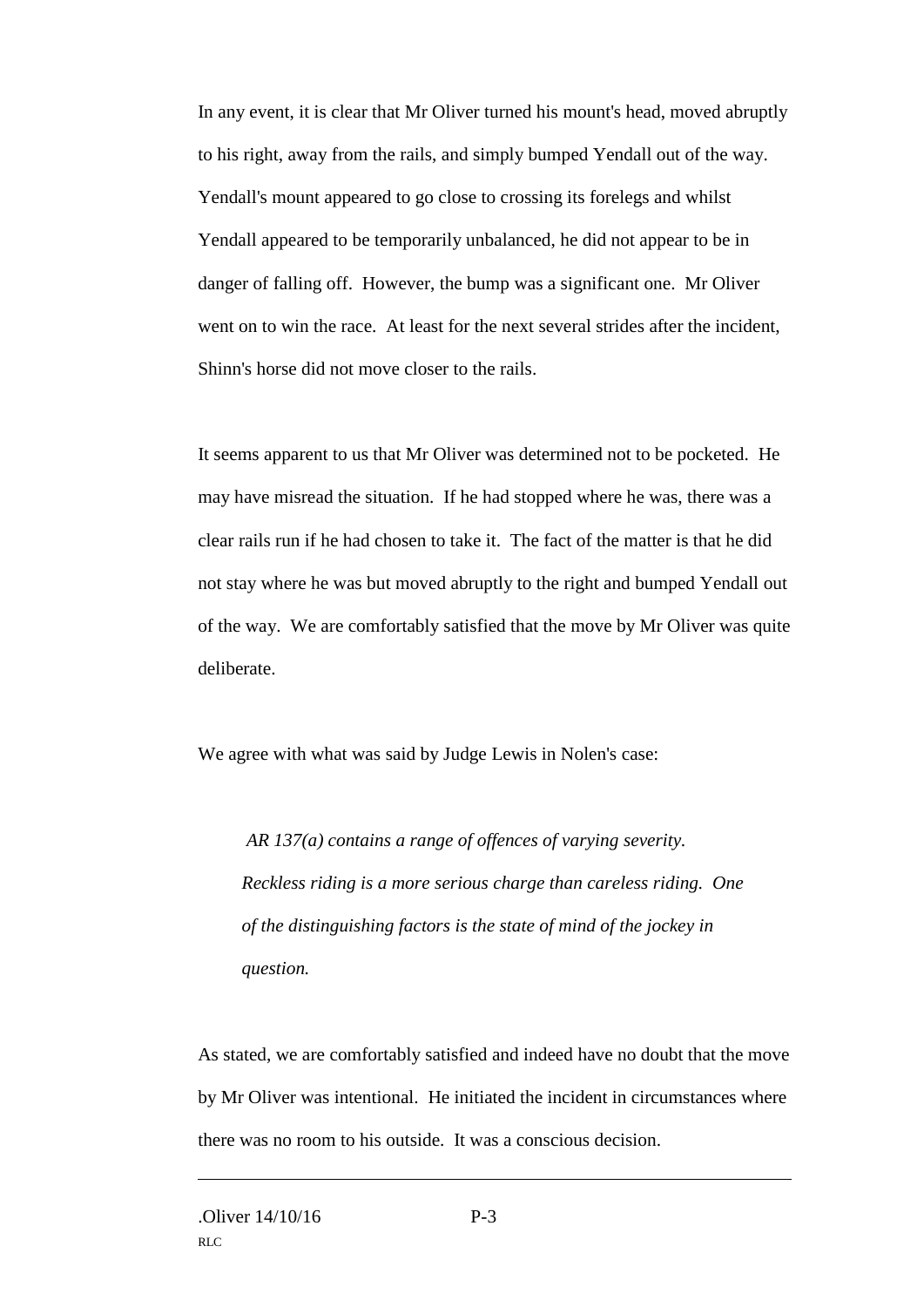In any event, it is clear that Mr Oliver turned his mount's head, moved abruptly to his right, away from the rails, and simply bumped Yendall out of the way. Yendall's mount appeared to go close to crossing its forelegs and whilst Yendall appeared to be temporarily unbalanced, he did not appear to be in danger of falling off. However, the bump was a significant one. Mr Oliver went on to win the race. At least for the next several strides after the incident, Shinn's horse did not move closer to the rails.

It seems apparent to us that Mr Oliver was determined not to be pocketed. He may have misread the situation. If he had stopped where he was, there was a clear rails run if he had chosen to take it. The fact of the matter is that he did not stay where he was but moved abruptly to the right and bumped Yendall out of the way. We are comfortably satisfied that the move by Mr Oliver was quite deliberate.

We agree with what was said by Judge Lewis in Nolen's case:

*AR 137(a) contains a range of offences of varying severity. Reckless riding is a more serious charge than careless riding. One of the distinguishing factors is the state of mind of the jockey in question.*

As stated, we are comfortably satisfied and indeed have no doubt that the move by Mr Oliver was intentional. He initiated the incident in circumstances where there was no room to his outside. It was a conscious decision.